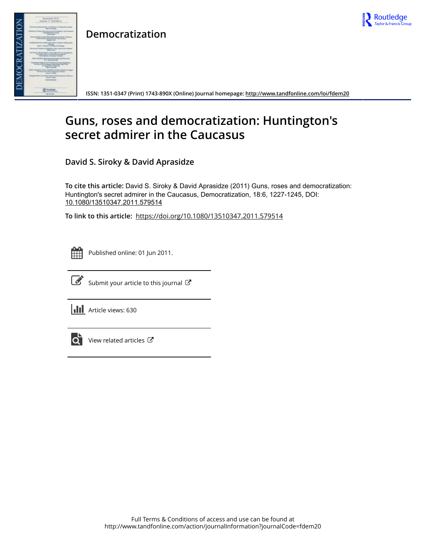

**Democratization**



**ISSN: 1351-0347 (Print) 1743-890X (Online) Journal homepage: <http://www.tandfonline.com/loi/fdem20>**

# **Guns, roses and democratization: Huntington's secret admirer in the Caucasus**

**David S. Siroky & David Aprasidze**

**To cite this article:** David S. Siroky & David Aprasidze (2011) Guns, roses and democratization: Huntington's secret admirer in the Caucasus, Democratization, 18:6, 1227-1245, DOI: [10.1080/13510347.2011.579514](http://www.tandfonline.com/action/showCitFormats?doi=10.1080/13510347.2011.579514)

**To link to this article:** <https://doi.org/10.1080/13510347.2011.579514>

|  | - |  |
|--|---|--|
|  |   |  |
|  |   |  |
|  |   |  |

Published online: 01 Jun 2011.



 $\overrightarrow{S}$  [Submit your article to this journal](http://www.tandfonline.com/action/authorSubmission?journalCode=fdem20&show=instructions)  $\overrightarrow{S}$ 

**III** Article views: 630



 $\overrightarrow{Q}$  [View related articles](http://www.tandfonline.com/doi/mlt/10.1080/13510347.2011.579514)  $\overrightarrow{C}$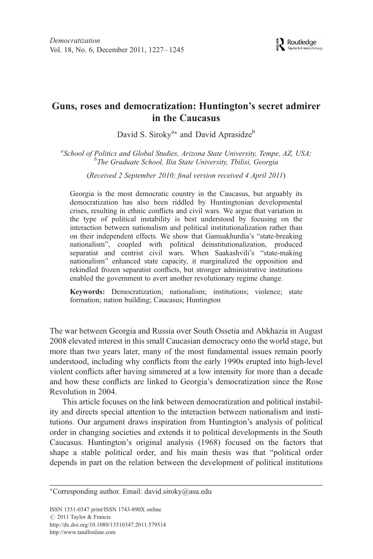

# Guns, roses and democratization: Huntington's secret admirer in the Caucasus

David S. Siroky<sup>a∗</sup> and David Aprasidze<sup>b</sup>

<sup>a</sup> School of Politics and Global Studies, Arizona State University, Tempe, AZ, USA;<br><sup>b</sup> The Graduate School, Ilia State University, Thilisi, Georgia <sup>b</sup>The Graduate School, Ilia State University, Tbilisi, Georgia

(Received 2 September 2010; final version received 4 April 2011)

Georgia is the most democratic country in the Caucasus, but arguably its democratization has also been riddled by Huntingtonian developmental crises, resulting in ethnic conflicts and civil wars. We argue that variation in the type of political instability is best understood by focusing on the interaction between nationalism and political institutionalization rather than on their independent effects. We show that Gamsakhurdia's "state-breaking nationalism", coupled with political deinstitutionalization, produced separatist and centrist civil wars. When Saakashvili's "state-making nationalism" enhanced state capacity, it marginalized the opposition and rekindled frozen separatist conflicts, but stronger administrative institutions enabled the government to avert another revolutionary regime change.

Keywords: Democratization; nationalism; institutions; violence; state formation; nation building; Caucasus; Huntington

The war between Georgia and Russia over South Ossetia and Abkhazia in August 2008 elevated interest in this small Caucasian democracy onto the world stage, but more than two years later, many of the most fundamental issues remain poorly understood, including why conflicts from the early 1990s erupted into high-level violent conflicts after having simmered at a low intensity for more than a decade and how these conflicts are linked to Georgia's democratization since the Rose Revolution in 2004.

This article focuses on the link between democratization and political instability and directs special attention to the interaction between nationalism and institutions. Our argument draws inspiration from Huntington's analysis of political order in changing societies and extends it to political developments in the South Caucasus. Huntington's original analysis (1968) focused on the factors that shape a stable political order, and his main thesis was that "political order depends in part on the relation between the development of political institutions

<sup>∗</sup>Corresponding author. Email: david.siroky@asu.edu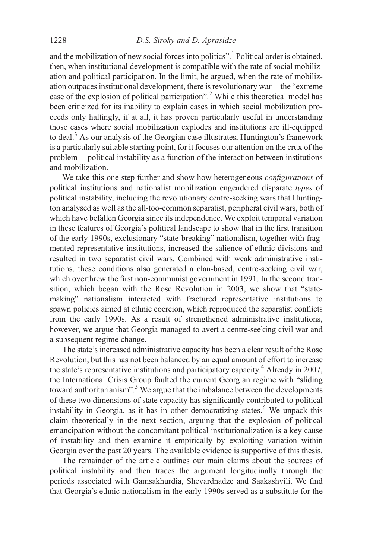and the mobilization of new social forces into politics".<sup>1</sup> Political order is obtained, then, when institutional development is compatible with the rate of social mobilization and political participation. In the limit, he argued, when the rate of mobilization outpaces institutional development, there is revolutionary war – the "extreme case of the explosion of political participation".<sup>2</sup> While this theoretical model has been criticized for its inability to explain cases in which social mobilization proceeds only haltingly, if at all, it has proven particularly useful in understanding those cases where social mobilization explodes and institutions are ill-equipped to deal.<sup>3</sup> As our analysis of the Georgian case illustrates, Huntington's framework is a particularly suitable starting point, for it focuses our attention on the crux of the problem – political instability as a function of the interaction between institutions and mobilization.

We take this one step further and show how heterogeneous *configurations* of political institutions and nationalist mobilization engendered disparate types of political instability, including the revolutionary centre-seeking wars that Huntington analysed as well as the all-too-common separatist, peripheral civil wars, both of which have befallen Georgia since its independence. We exploit temporal variation in these features of Georgia's political landscape to show that in the first transition of the early 1990s, exclusionary "state-breaking" nationalism, together with fragmented representative institutions, increased the salience of ethnic divisions and resulted in two separatist civil wars. Combined with weak administrative institutions, these conditions also generated a clan-based, centre-seeking civil war, which overthrew the first non-communist government in 1991. In the second transition, which began with the Rose Revolution in 2003, we show that "statemaking" nationalism interacted with fractured representative institutions to spawn policies aimed at ethnic coercion, which reproduced the separatist conflicts from the early 1990s. As a result of strengthened administrative institutions, however, we argue that Georgia managed to avert a centre-seeking civil war and a subsequent regime change.

The state's increased administrative capacity has been a clear result of the Rose Revolution, but this has not been balanced by an equal amount of effort to increase the state's representative institutions and participatory capacity.<sup>4</sup> Already in 2007, the International Crisis Group faulted the current Georgian regime with "sliding toward authoritarianism".<sup>5</sup> We argue that the imbalance between the developments of these two dimensions of state capacity has significantly contributed to political instability in Georgia, as it has in other democratizing states.<sup>6</sup> We unpack this claim theoretically in the next section, arguing that the explosion of political emancipation without the concomitant political institutionalization is a key cause of instability and then examine it empirically by exploiting variation within Georgia over the past 20 years. The available evidence is supportive of this thesis.

The remainder of the article outlines our main claims about the sources of political instability and then traces the argument longitudinally through the periods associated with Gamsakhurdia, Shevardnadze and Saakashvili. We find that Georgia's ethnic nationalism in the early 1990s served as a substitute for the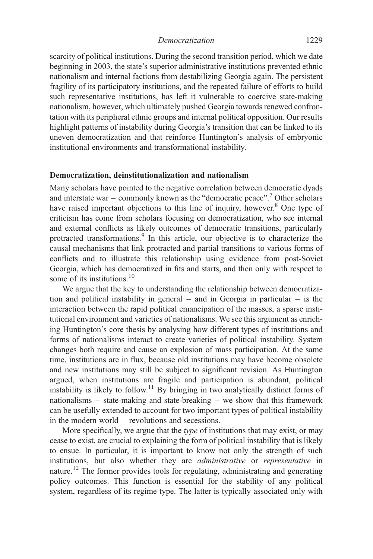# Democratization 1229

scarcity of political institutions. During the second transition period, which we date beginning in 2003, the state's superior administrative institutions prevented ethnic nationalism and internal factions from destabilizing Georgia again. The persistent fragility of its participatory institutions, and the repeated failure of efforts to build such representative institutions, has left it vulnerable to coercive state-making nationalism, however, which ultimately pushed Georgia towards renewed confrontation with its peripheral ethnic groups and internal political opposition. Our results highlight patterns of instability during Georgia's transition that can be linked to its uneven democratization and that reinforce Huntington's analysis of embryonic institutional environments and transformational instability.

# Democratization, deinstitutionalization and nationalism

Many scholars have pointed to the negative correlation between democratic dyads and interstate war – commonly known as the "democratic peace".<sup>7</sup> Other scholars have raised important objections to this line of inquiry, however.<sup>8</sup> One type of criticism has come from scholars focusing on democratization, who see internal and external conflicts as likely outcomes of democratic transitions, particularly protracted transformations.<sup>9</sup> In this article, our objective is to characterize the causal mechanisms that link protracted and partial transitions to various forms of conflicts and to illustrate this relationship using evidence from post-Soviet Georgia, which has democratized in fits and starts, and then only with respect to some of its institutions.<sup>10</sup>

We argue that the key to understanding the relationship between democratization and political instability in general – and in Georgia in particular – is the interaction between the rapid political emancipation of the masses, a sparse institutional environment and varieties of nationalisms. We see this argument as enriching Huntington's core thesis by analysing how different types of institutions and forms of nationalisms interact to create varieties of political instability. System changes both require and cause an explosion of mass participation. At the same time, institutions are in flux, because old institutions may have become obsolete and new institutions may still be subject to significant revision. As Huntington argued, when institutions are fragile and participation is abundant, political instability is likely to follow.<sup>11</sup> By bringing in two analytically distinct forms of nationalisms – state-making and state-breaking – we show that this framework can be usefully extended to account for two important types of political instability in the modern world – revolutions and secessions.

More specifically, we argue that the type of institutions that may exist, or may cease to exist, are crucial to explaining the form of political instability that is likely to ensue. In particular, it is important to know not only the strength of such institutions, but also whether they are administrative or representative in nature.<sup>12</sup> The former provides tools for regulating, administrating and generating policy outcomes. This function is essential for the stability of any political system, regardless of its regime type. The latter is typically associated only with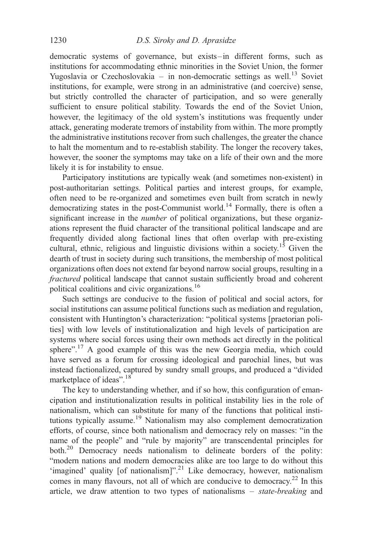democratic systems of governance, but exists –in different forms, such as institutions for accommodating ethnic minorities in the Soviet Union, the former Yugoslavia or Czechoslovakia – in non-democratic settings as well.<sup>13</sup> Soviet institutions, for example, were strong in an administrative (and coercive) sense, but strictly controlled the character of participation, and so were generally sufficient to ensure political stability. Towards the end of the Soviet Union, however, the legitimacy of the old system's institutions was frequently under attack, generating moderate tremors of instability from within. The more promptly the administrative institutions recover from such challenges, the greater the chance to halt the momentum and to re-establish stability. The longer the recovery takes, however, the sooner the symptoms may take on a life of their own and the more likely it is for instability to ensue.

Participatory institutions are typically weak (and sometimes non-existent) in post-authoritarian settings. Political parties and interest groups, for example, often need to be re-organized and sometimes even built from scratch in newly democratizing states in the post-Communist world.<sup>14</sup> Formally, there is often a significant increase in the *number* of political organizations, but these organizations represent the fluid character of the transitional political landscape and are frequently divided along factional lines that often overlap with pre-existing cultural, ethnic, religious and linguistic divisions within a society.<sup>15</sup> Given the dearth of trust in society during such transitions, the membership of most political organizations often does not extend far beyond narrow social groups, resulting in a fractured political landscape that cannot sustain sufficiently broad and coherent political coalitions and civic organizations.<sup>16</sup>

Such settings are conducive to the fusion of political and social actors, for social institutions can assume political functions such as mediation and regulation, consistent with Huntington's characterization: "political systems [praetorian polities] with low levels of institutionalization and high levels of participation are systems where social forces using their own methods act directly in the political sphere".<sup>17</sup> A good example of this was the new Georgia media, which could have served as a forum for crossing ideological and parochial lines, but was instead factionalized, captured by sundry small groups, and produced a "divided marketplace of ideas".<sup>18</sup>

The key to understanding whether, and if so how, this configuration of emancipation and institutionalization results in political instability lies in the role of nationalism, which can substitute for many of the functions that political institutions typically assume.<sup>19</sup> Nationalism may also complement democratization efforts, of course, since both nationalism and democracy rely on masses: "in the name of the people" and "rule by majority" are transcendental principles for both.<sup>20</sup> Democracy needs nationalism to delineate borders of the polity: "modern nations and modern democracies alike are too large to do without this 'imagined' quality [of nationalism]".<sup>21</sup> Like democracy, however, nationalism comes in many flavours, not all of which are conducive to democracy.<sup>22</sup> In this article, we draw attention to two types of nationalisms – *state-breaking* and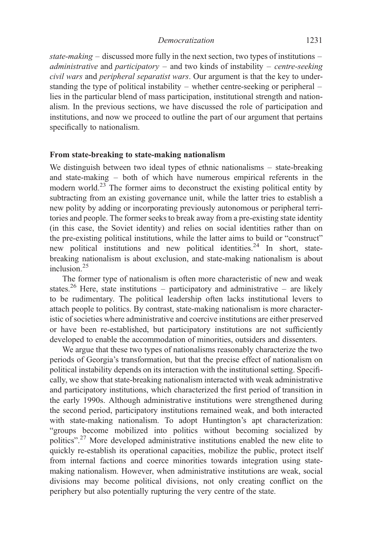state-making – discussed more fully in the next section, two types of institutions – administrative and participatory – and two kinds of instability – centre-seeking civil wars and peripheral separatist wars. Our argument is that the key to understanding the type of political instability – whether centre-seeking or peripheral – lies in the particular blend of mass participation, institutional strength and nationalism. In the previous sections, we have discussed the role of participation and institutions, and now we proceed to outline the part of our argument that pertains specifically to nationalism.

### From state-breaking to state-making nationalism

We distinguish between two ideal types of ethnic nationalisms – state-breaking and state-making – both of which have numerous empirical referents in the modern world.<sup>23</sup> The former aims to deconstruct the existing political entity by subtracting from an existing governance unit, while the latter tries to establish a new polity by adding or incorporating previously autonomous or peripheral territories and people. The former seeks to break away from a pre-existing state identity (in this case, the Soviet identity) and relies on social identities rather than on the pre-existing political institutions, while the latter aims to build or "construct" new political institutions and new political identities.<sup>24</sup> In short, statebreaking nationalism is about exclusion, and state-making nationalism is about inclusion. $25$ 

The former type of nationalism is often more characteristic of new and weak states.<sup>26</sup> Here, state institutions – participatory and administrative – are likely to be rudimentary. The political leadership often lacks institutional levers to attach people to politics. By contrast, state-making nationalism is more characteristic of societies where administrative and coercive institutions are either preserved or have been re-established, but participatory institutions are not sufficiently developed to enable the accommodation of minorities, outsiders and dissenters.

We argue that these two types of nationalisms reasonably characterize the two periods of Georgia's transformation, but that the precise effect of nationalism on political instability depends on its interaction with the institutional setting. Specifically, we show that state-breaking nationalism interacted with weak administrative and participatory institutions, which characterized the first period of transition in the early 1990s. Although administrative institutions were strengthened during the second period, participatory institutions remained weak, and both interacted with state-making nationalism. To adopt Huntington's apt characterization: "groups become mobilized into politics without becoming socialized by politics".<sup>27</sup> More developed administrative institutions enabled the new elite to quickly re-establish its operational capacities, mobilize the public, protect itself from internal factions and coerce minorities towards integration using statemaking nationalism. However, when administrative institutions are weak, social divisions may become political divisions, not only creating conflict on the periphery but also potentially rupturing the very centre of the state.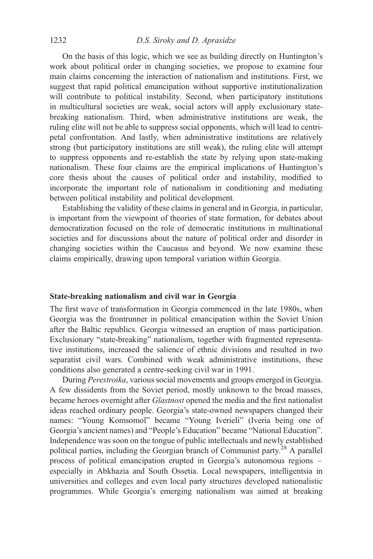On the basis of this logic, which we see as building directly on Huntington's work about political order in changing societies, we propose to examine four main claims concerning the interaction of nationalism and institutions. First, we suggest that rapid political emancipation without supportive institutionalization will contribute to political instability. Second, when participatory institutions in multicultural societies are weak, social actors will apply exclusionary statebreaking nationalism. Third, when administrative institutions are weak, the ruling elite will not be able to suppress social opponents, which will lead to centripetal confrontation. And lastly, when administrative institutions are relatively strong (but participatory institutions are still weak), the ruling elite will attempt to suppress opponents and re-establish the state by relying upon state-making nationalism. These four claims are the empirical implications of Huntington's core thesis about the causes of political order and instability, modified to incorporate the important role of nationalism in conditioning and mediating between political instability and political development.

Establishing the validity of these claims in general and in Georgia, in particular, is important from the viewpoint of theories of state formation, for debates about democratization focused on the role of democratic institutions in multinational societies and for discussions about the nature of political order and disorder in changing societies within the Caucasus and beyond. We now examine these claims empirically, drawing upon temporal variation within Georgia.

# State-breaking nationalism and civil war in Georgia

The first wave of transformation in Georgia commenced in the late 1980s, when Georgia was the frontrunner in political emancipation within the Soviet Union after the Baltic republics. Georgia witnessed an eruption of mass participation. Exclusionary "state-breaking" nationalism, together with fragmented representative institutions, increased the salience of ethnic divisions and resulted in two separatist civil wars. Combined with weak administrative institutions, these conditions also generated a centre-seeking civil war in 1991.

During Perestroika, various social movements and groups emerged in Georgia. A few dissidents from the Soviet period, mostly unknown to the broad masses, became heroes overnight after Glastnost opened the media and the first nationalist ideas reached ordinary people. Georgia's state-owned newspapers changed their names: "Young Komsomol" became "Young Iverieli" (Iveria being one of Georgia's ancient names) and "People's Education" became "National Education". Independence was soon on the tongue of public intellectuals and newly established political parties, including the Georgian branch of Communist party.<sup>28</sup> A parallel process of political emancipation erupted in Georgia's autonomous regions – especially in Abkhazia and South Ossetia. Local newspapers, intelligentsia in universities and colleges and even local party structures developed nationalistic programmes. While Georgia's emerging nationalism was aimed at breaking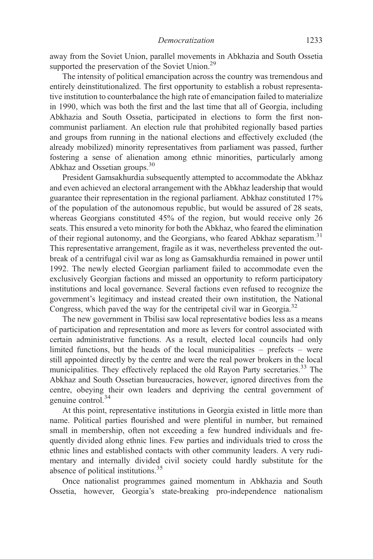away from the Soviet Union, parallel movements in Abkhazia and South Ossetia supported the preservation of the Soviet Union. $^{29}$ 

The intensity of political emancipation across the country was tremendous and entirely deinstitutionalized. The first opportunity to establish a robust representative institution to counterbalance the high rate of emancipation failed to materialize in 1990, which was both the first and the last time that all of Georgia, including Abkhazia and South Ossetia, participated in elections to form the first noncommunist parliament. An election rule that prohibited regionally based parties and groups from running in the national elections and effectively excluded (the already mobilized) minority representatives from parliament was passed, further fostering a sense of alienation among ethnic minorities, particularly among Abkhaz and Ossetian groups.<sup>30</sup>

President Gamsakhurdia subsequently attempted to accommodate the Abkhaz and even achieved an electoral arrangement with the Abkhaz leadership that would guarantee their representation in the regional parliament. Abkhaz constituted 17% of the population of the autonomous republic, but would be assured of 28 seats, whereas Georgians constituted 45% of the region, but would receive only 26 seats. This ensured a veto minority for both the Abkhaz, who feared the elimination of their regional autonomy, and the Georgians, who feared Abkhaz separatism.<sup>31</sup> This representative arrangement, fragile as it was, nevertheless prevented the outbreak of a centrifugal civil war as long as Gamsakhurdia remained in power until 1992. The newly elected Georgian parliament failed to accommodate even the exclusively Georgian factions and missed an opportunity to reform participatory institutions and local governance. Several factions even refused to recognize the government's legitimacy and instead created their own institution, the National Congress, which paved the way for the centripetal civil war in Georgia.<sup>32</sup>

The new government in Tbilisi saw local representative bodies less as a means of participation and representation and more as levers for control associated with certain administrative functions. As a result, elected local councils had only limited functions, but the heads of the local municipalities – prefects – were still appointed directly by the centre and were the real power brokers in the local municipalities. They effectively replaced the old Rayon Party secretaries.<sup>33</sup> The Abkhaz and South Ossetian bureaucracies, however, ignored directives from the centre, obeying their own leaders and depriving the central government of genuine control.<sup>34</sup>

At this point, representative institutions in Georgia existed in little more than name. Political parties flourished and were plentiful in number, but remained small in membership, often not exceeding a few hundred individuals and frequently divided along ethnic lines. Few parties and individuals tried to cross the ethnic lines and established contacts with other community leaders. A very rudimentary and internally divided civil society could hardly substitute for the absence of political institutions.<sup>35</sup>

Once nationalist programmes gained momentum in Abkhazia and South Ossetia, however, Georgia's state-breaking pro-independence nationalism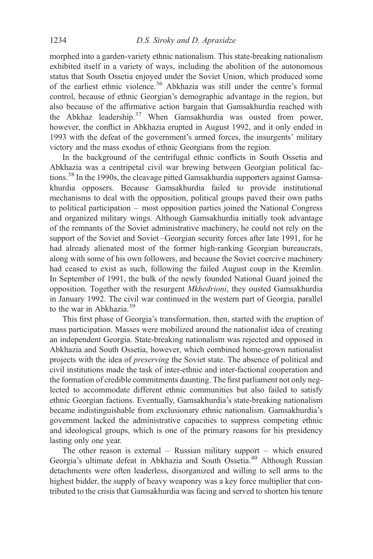morphed into a garden-variety ethnic nationalism. This state-breaking nationalism exhibited itself in a variety of ways, including the abolition of the autonomous status that South Ossetia enjoyed under the Soviet Union, which produced some of the earliest ethnic violence.<sup>36</sup> Abkhazia was still under the centre's formal control, because of ethnic Georgian's demographic advantage in the region, but also because of the affirmative action bargain that Gamsakhurdia reached with the Abkhaz leadership.<sup>37</sup> When Gamsakhurdia was ousted from power, however, the conflict in Abkhazia erupted in August 1992, and it only ended in 1993 with the defeat of the government's armed forces, the insurgents' military victory and the mass exodus of ethnic Georgians from the region.

In the background of the centrifugal ethnic conflicts in South Ossetia and Abkhazia was a centripetal civil war brewing between Georgian political factions.<sup>38</sup> In the 1990s, the cleavage pitted Gamsakhurdia supporters against Gamsakhurdia opposers. Because Gamsakhurdia failed to provide institutional mechanisms to deal with the opposition, political groups paved their own paths to political participation – most opposition parties joined the National Congress and organized military wings. Although Gamsakhurdia initially took advantage of the remnants of the Soviet administrative machinery, he could not rely on the support of the Soviet and Soviet-Georgian security forces after late 1991, for he had already alienated most of the former high-ranking Georgian bureaucrats, along with some of his own followers, and because the Soviet coercive machinery had ceased to exist as such, following the failed August coup in the Kremlin. In September of 1991, the bulk of the newly founded National Guard joined the opposition. Together with the resurgent *Mkhedrioni*, they ousted Gamsakhurdia in January 1992. The civil war continued in the western part of Georgia, parallel to the war in Abkhazia.<sup>39</sup>

This first phase of Georgia's transformation, then, started with the eruption of mass participation. Masses were mobilized around the nationalist idea of creating an independent Georgia. State-breaking nationalism was rejected and opposed in Abkhazia and South Ossetia, however, which combined home-grown nationalist projects with the idea of preserving the Soviet state. The absence of political and civil institutions made the task of inter-ethnic and inter-factional cooperation and the formation of credible commitments daunting. The first parliament not only neglected to accommodate different ethnic communities but also failed to satisfy ethnic Georgian factions. Eventually, Gamsakhurdia's state-breaking nationalism became indistinguishable from exclusionary ethnic nationalism. Gamsakhurdia's government lacked the administrative capacities to suppress competing ethnic and ideological groups, which is one of the primary reasons for his presidency lasting only one year.

The other reason is external – Russian military support – which ensured Georgia's ultimate defeat in Abkhazia and South Ossetia.<sup>40</sup> Although Russian detachments were often leaderless, disorganized and willing to sell arms to the highest bidder, the supply of heavy weaponry was a key force multiplier that contributed to the crisis that Gamsakhurdia was facing and served to shorten his tenure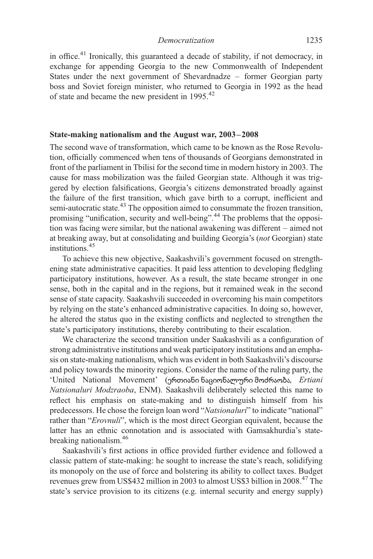in office.<sup>41</sup> Ironically, this guaranteed a decade of stability, if not democracy, in exchange for appending Georgia to the new Commonwealth of Independent States under the next government of Shevardnadze – former Georgian party boss and Soviet foreign minister, who returned to Georgia in 1992 as the head of state and became the new president in  $1995.^{42}$ 

# State-making nationalism and the August war, 2003– 2008

The second wave of transformation, which came to be known as the Rose Revolution, officially commenced when tens of thousands of Georgians demonstrated in front of the parliament in Tbilisi for the second time in modern history in 2003. The cause for mass mobilization was the failed Georgian state. Although it was triggered by election falsifications, Georgia's citizens demonstrated broadly against the failure of the first transition, which gave birth to a corrupt, inefficient and semi-autocratic state.<sup>43</sup> The opposition aimed to consummate the frozen transition, promising "unification, security and well-being".<sup>44</sup> The problems that the opposition was facing were similar, but the national awakening was different – aimed not at breaking away, but at consolidating and building Georgia's (not Georgian) state institutions.<sup>45</sup>

To achieve this new objective, Saakashvili's government focused on strengthening state administrative capacities. It paid less attention to developing fledgling participatory institutions, however. As a result, the state became stronger in one sense, both in the capital and in the regions, but it remained weak in the second sense of state capacity. Saakashvili succeeded in overcoming his main competitors by relying on the state's enhanced administrative capacities. In doing so, however, he altered the status quo in the existing conflicts and neglected to strengthen the state's participatory institutions, thereby contributing to their escalation.

We characterize the second transition under Saakashvili as a configuration of strong administrative institutions and weak participatory institutions and an emphasis on state-making nationalism, which was evident in both Saakashvili's discourse and policy towards the minority regions. Consider the name of the ruling party, the 'United National Movement' (ერთიანი ნაციონალური მოძრაობა, Ertiani Natsionaluri Modzraoba, ENM). Saakashvili deliberately selected this name to reflect his emphasis on state-making and to distinguish himself from his predecessors. He chose the foreign loan word "Natsionaluri" to indicate "national" rather than "*Erovnuli*", which is the most direct Georgian equivalent, because the latter has an ethnic connotation and is associated with Gamsakhurdia's statebreaking nationalism.<sup>46</sup>

Saakashvili's first actions in office provided further evidence and followed a classic pattern of state-making: he sought to increase the state's reach, solidifying its monopoly on the use of force and bolstering its ability to collect taxes. Budget revenues grew from US\$432 million in 2003 to almost US\$3 billion in 2008.<sup>47</sup> The state's service provision to its citizens (e.g. internal security and energy supply)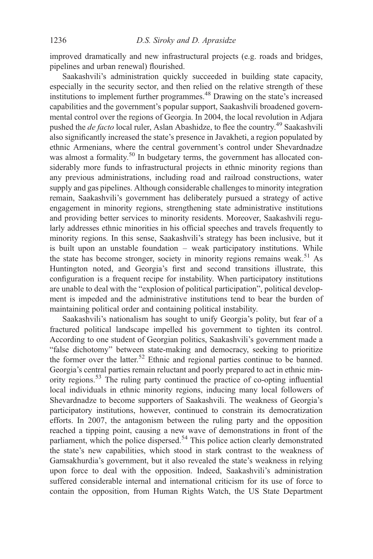improved dramatically and new infrastructural projects (e.g. roads and bridges, pipelines and urban renewal) flourished.

Saakashvili's administration quickly succeeded in building state capacity, especially in the security sector, and then relied on the relative strength of these institutions to implement further programmes.<sup>48</sup> Drawing on the state's increased capabilities and the government's popular support, Saakashvili broadened governmental control over the regions of Georgia. In 2004, the local revolution in Adjara pushed the *de facto* local ruler, Aslan Abashidze, to flee the country.<sup>49</sup> Saakashvili also significantly increased the state's presence in Javakheti, a region populated by ethnic Armenians, where the central government's control under Shevardnadze was almost a formality.<sup>50</sup> In budgetary terms, the government has allocated considerably more funds to infrastructural projects in ethnic minority regions than any previous administrations, including road and railroad constructions, water supply and gas pipelines. Although considerable challenges to minority integration remain, Saakashvili's government has deliberately pursued a strategy of active engagement in minority regions, strengthening state administrative institutions and providing better services to minority residents. Moreover, Saakashvili regularly addresses ethnic minorities in his official speeches and travels frequently to minority regions. In this sense, Saakashvili's strategy has been inclusive, but it is built upon an unstable foundation – weak participatory institutions. While the state has become stronger, society in minority regions remains weak.<sup>51</sup> As Huntington noted, and Georgia's first and second transitions illustrate, this configuration is a frequent recipe for instability. When participatory institutions are unable to deal with the "explosion of political participation", political development is impeded and the administrative institutions tend to bear the burden of maintaining political order and containing political instability.

Saakashvili's nationalism has sought to unify Georgia's polity, but fear of a fractured political landscape impelled his government to tighten its control. According to one student of Georgian politics, Saakashvili's government made a "false dichotomy" between state-making and democracy, seeking to prioritize the former over the latter.<sup>52</sup> Ethnic and regional parties continue to be banned. Georgia's central parties remain reluctant and poorly prepared to act in ethnic minority regions.<sup>53</sup> The ruling party continued the practice of co-opting influential local individuals in ethnic minority regions, inducing many local followers of Shevardnadze to become supporters of Saakashvili. The weakness of Georgia's participatory institutions, however, continued to constrain its democratization efforts. In 2007, the antagonism between the ruling party and the opposition reached a tipping point, causing a new wave of demonstrations in front of the parliament, which the police dispersed.<sup>54</sup> This police action clearly demonstrated the state's new capabilities, which stood in stark contrast to the weakness of Gamsakhurdia's government, but it also revealed the state's weakness in relying upon force to deal with the opposition. Indeed, Saakashvili's administration suffered considerable internal and international criticism for its use of force to contain the opposition, from Human Rights Watch, the US State Department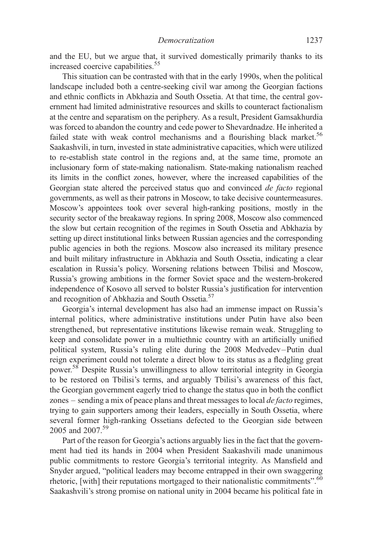and the EU, but we argue that, it survived domestically primarily thanks to its increased coercive capabilities.<sup>55</sup>

This situation can be contrasted with that in the early 1990s, when the political landscape included both a centre-seeking civil war among the Georgian factions and ethnic conflicts in Abkhazia and South Ossetia. At that time, the central government had limited administrative resources and skills to counteract factionalism at the centre and separatism on the periphery. As a result, President Gamsakhurdia was forced to abandon the country and cede power to Shevardnadze. He inherited a failed state with weak control mechanisms and a flourishing black market.<sup>56</sup> Saakashvili, in turn, invested in state administrative capacities, which were utilized to re-establish state control in the regions and, at the same time, promote an inclusionary form of state-making nationalism. State-making nationalism reached its limits in the conflict zones, however, where the increased capabilities of the Georgian state altered the perceived status quo and convinced *de facto* regional governments, as well as their patrons in Moscow, to take decisive countermeasures. Moscow's appointees took over several high-ranking positions, mostly in the security sector of the breakaway regions. In spring 2008, Moscow also commenced the slow but certain recognition of the regimes in South Ossetia and Abkhazia by setting up direct institutional links between Russian agencies and the corresponding public agencies in both the regions. Moscow also increased its military presence and built military infrastructure in Abkhazia and South Ossetia, indicating a clear escalation in Russia's policy. Worsening relations between Tbilisi and Moscow, Russia's growing ambitions in the former Soviet space and the western-brokered independence of Kosovo all served to bolster Russia's justification for intervention and recognition of Abkhazia and South Ossetia.<sup>57</sup>

Georgia's internal development has also had an immense impact on Russia's internal politics, where administrative institutions under Putin have also been strengthened, but representative institutions likewise remain weak. Struggling to keep and consolidate power in a multiethnic country with an artificially unified political system, Russia's ruling elite during the 2008 Medvedev –Putin dual reign experiment could not tolerate a direct blow to its status as a fledgling great power.58 Despite Russia's unwillingness to allow territorial integrity in Georgia to be restored on Tbilisi's terms, and arguably Tbilisi's awareness of this fact, the Georgian government eagerly tried to change the status quo in both the conflict zones – sending a mix of peace plans and threat messages to local *de facto* regimes, trying to gain supporters among their leaders, especially in South Ossetia, where several former high-ranking Ossetians defected to the Georgian side between 2005 and 2007.<sup>59</sup>

Part of the reason for Georgia's actions arguably lies in the fact that the government had tied its hands in 2004 when President Saakashvili made unanimous public commitments to restore Georgia's territorial integrity. As Mansfield and Snyder argued, "political leaders may become entrapped in their own swaggering rhetoric, [with] their reputations mortgaged to their nationalistic commitments".<sup>60</sup> Saakashvili's strong promise on national unity in 2004 became his political fate in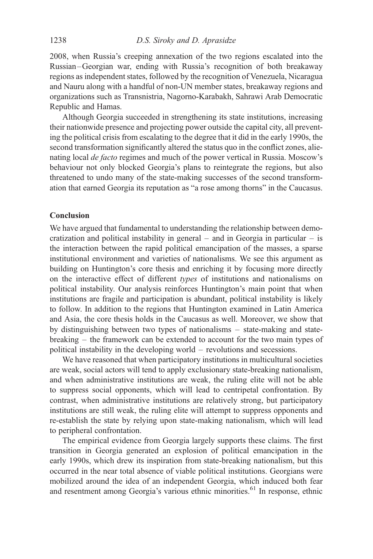2008, when Russia's creeping annexation of the two regions escalated into the Russian –Georgian war, ending with Russia's recognition of both breakaway regions as independent states, followed by the recognition of Venezuela, Nicaragua and Nauru along with a handful of non-UN member states, breakaway regions and organizations such as Transnistria, Nagorno-Karabakh, Sahrawi Arab Democratic Republic and Hamas.

Although Georgia succeeded in strengthening its state institutions, increasing their nationwide presence and projecting power outside the capital city, all preventing the political crisis from escalating to the degree that it did in the early 1990s, the second transformation significantly altered the status quo in the conflict zones, alienating local *de facto* regimes and much of the power vertical in Russia. Moscow's behaviour not only blocked Georgia's plans to reintegrate the regions, but also threatened to undo many of the state-making successes of the second transformation that earned Georgia its reputation as "a rose among thorns" in the Caucasus.

#### Conclusion

We have argued that fundamental to understanding the relationship between democratization and political instability in general – and in Georgia in particular – is the interaction between the rapid political emancipation of the masses, a sparse institutional environment and varieties of nationalisms. We see this argument as building on Huntington's core thesis and enriching it by focusing more directly on the interactive effect of different types of institutions and nationalisms on political instability. Our analysis reinforces Huntington's main point that when institutions are fragile and participation is abundant, political instability is likely to follow. In addition to the regions that Huntington examined in Latin America and Asia, the core thesis holds in the Caucasus as well. Moreover, we show that by distinguishing between two types of nationalisms – state-making and statebreaking – the framework can be extended to account for the two main types of political instability in the developing world – revolutions and secessions.

We have reasoned that when participatory institutions in multicultural societies are weak, social actors will tend to apply exclusionary state-breaking nationalism, and when administrative institutions are weak, the ruling elite will not be able to suppress social opponents, which will lead to centripetal confrontation. By contrast, when administrative institutions are relatively strong, but participatory institutions are still weak, the ruling elite will attempt to suppress opponents and re-establish the state by relying upon state-making nationalism, which will lead to peripheral confrontation.

The empirical evidence from Georgia largely supports these claims. The first transition in Georgia generated an explosion of political emancipation in the early 1990s, which drew its inspiration from state-breaking nationalism, but this occurred in the near total absence of viable political institutions. Georgians were mobilized around the idea of an independent Georgia, which induced both fear and resentment among Georgia's various ethnic minorities.<sup>61</sup> In response, ethnic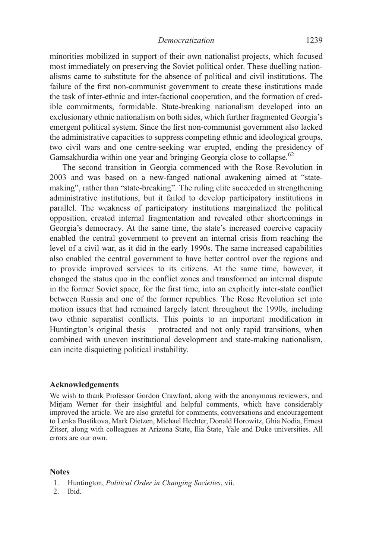minorities mobilized in support of their own nationalist projects, which focused most immediately on preserving the Soviet political order. These duelling nationalisms came to substitute for the absence of political and civil institutions. The failure of the first non-communist government to create these institutions made the task of inter-ethnic and inter-factional cooperation, and the formation of credible commitments, formidable. State-breaking nationalism developed into an exclusionary ethnic nationalism on both sides, which further fragmented Georgia's emergent political system. Since the first non-communist government also lacked the administrative capacities to suppress competing ethnic and ideological groups, two civil wars and one centre-seeking war erupted, ending the presidency of Gamsakhurdia within one year and bringing Georgia close to collapse.<sup>62</sup>

The second transition in Georgia commenced with the Rose Revolution in 2003 and was based on a new-fanged national awakening aimed at "statemaking", rather than "state-breaking". The ruling elite succeeded in strengthening administrative institutions, but it failed to develop participatory institutions in parallel. The weakness of participatory institutions marginalized the political opposition, created internal fragmentation and revealed other shortcomings in Georgia's democracy. At the same time, the state's increased coercive capacity enabled the central government to prevent an internal crisis from reaching the level of a civil war, as it did in the early 1990s. The same increased capabilities also enabled the central government to have better control over the regions and to provide improved services to its citizens. At the same time, however, it changed the status quo in the conflict zones and transformed an internal dispute in the former Soviet space, for the first time, into an explicitly inter-state conflict between Russia and one of the former republics. The Rose Revolution set into motion issues that had remained largely latent throughout the 1990s, including two ethnic separatist conflicts. This points to an important modification in Huntington's original thesis – protracted and not only rapid transitions, when combined with uneven institutional development and state-making nationalism, can incite disquieting political instability.

#### Acknowledgements

We wish to thank Professor Gordon Crawford, along with the anonymous reviewers, and Mirjam Werner for their insightful and helpful comments, which have considerably improved the article. We are also grateful for comments, conversations and encouragement to Lenka Bustikova, Mark Dietzen, Michael Hechter, Donald Horowitz, Ghia Nodia, Ernest Zitser, along with colleagues at Arizona State, Ilia State, Yale and Duke universities. All errors are our own.

## **Notes**

- 1. Huntington, Political Order in Changing Societies, vii.
- 2. Ibid.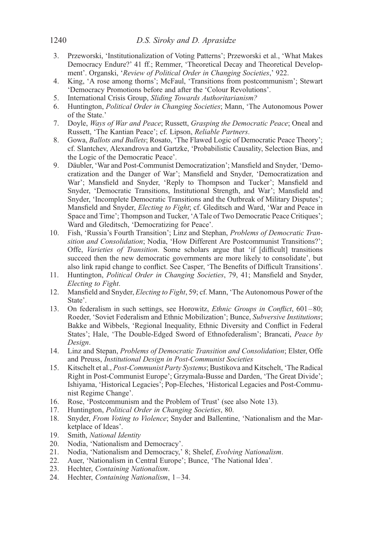- 3. Przeworski, 'Institutionalization of Voting Patterns'; Przeworski et al., 'What Makes Democracy Endure?' 41 ff.; Remmer, 'Theoretical Decay and Theoretical Development'. Organski, 'Review of Political Order in Changing Societies,' 922.
- 4. King, 'A rose among thorns'; McFaul, 'Transitions from postcommunism'; Stewart 'Democracy Promotions before and after the 'Colour Revolutions'.
- 5. International Crisis Group, Sliding Towards Authoritarianism?
- 6. Huntington, Political Order in Changing Societies; Mann, 'The Autonomous Power of the State.'
- 7. Doyle, Ways of War and Peace; Russett, Grasping the Democratic Peace; Oneal and Russett, 'The Kantian Peace'; cf. Lipson, Reliable Partners.
- 8. Gowa, Ballots and Bullets; Rosato, 'The Flawed Logic of Democratic Peace Theory'; cf. Slantchev, Alexandrova and Gartzke, 'Probabilistic Causality, Selection Bias, and the Logic of the Democratic Peace'.
- 9. Däubler, 'War and Post-Communist Democratization'; Mansfield and Snyder, 'Democratization and the Danger of War'; Mansfield and Snyder, 'Democratization and War'; Mansfield and Snyder, 'Reply to Thompson and Tucker'; Mansfield and Snyder, 'Democratic Transitions, Institutional Strength, and War'; Mansfield and Snyder, 'Incomplete Democratic Transitions and the Outbreak of Military Disputes'; Mansfield and Snyder, Electing to Fight; cf. Gleditsch and Ward, 'War and Peace in Space and Time'; Thompson and Tucker, 'ATale of Two Democratic Peace Critiques'; Ward and Gleditsch, 'Democratizing for Peace'.
- 10. Fish, 'Russia's Fourth Transition'; Linz and Stephan, Problems of Democratic Transition and Consolidation; Nodia, 'How Different Are Postcommunist Transitions?'; Offe, Varieties of Transition. Some scholars argue that 'if [difficult] transitions succeed then the new democratic governments are more likely to consolidate', but also link rapid change to conflict. See Casper, 'The Benefits of Difficult Transitions'.
- 11. Huntington, Political Order in Changing Societies, 79, 41; Mansfield and Snyder, Electing to Fight.
- 12. Mansfield and Snyder, Electing to Fight, 59; cf. Mann, 'The Autonomous Power of the State'.
- 13. On federalism in such settings, see Horowitz, Ethnic Groups in Conflict, 601-80; Roeder, 'Soviet Federalism and Ethnic Mobilization'; Bunce, Subversive Institutions; Bakke and Wibbels, 'Regional Inequality, Ethnic Diversity and Conflict in Federal States'; Hale, 'The Double-Edged Sword of Ethnofederalism'; Brancati, Peace by Design.
- 14. Linz and Stepan, Problems of Democratic Transition and Consolidation; Elster, Offe and Preuss, Institutional Design in Post-Communist Societies
- 15. Kitschelt et al., Post-Communist Party Systems; Bustikova and Kitschelt, 'The Radical Right in Post-Communist Europe'; Grzymala-Busse and Darden, 'The Great Divide'; Ishiyama, 'Historical Legacies'; Pop-Eleches, 'Historical Legacies and Post-Communist Regime Change'.
- 16. Rose, 'Postcommunism and the Problem of Trust' (see also Note 13).
- 17. Huntington, *Political Order in Changing Societies*, 80.<br>18. Snyder, *From Voting to Violence:* Snyder and Ballentin
- Snyder, From Voting to Violence; Snyder and Ballentine, 'Nationalism and the Marketplace of Ideas'.
- 19. Smith, *National Identity*<br>20. Nodia. 'Nationalism and
- Nodia, 'Nationalism and Democracy'.
- 21. Nodia, 'Nationalism and Democracy,' 8; Shelef, Evolving Nationalism.
- 22. Auer, 'Nationalism in Central Europe'; Bunce, 'The National Idea'.<br>23. Hechter, Containing Nationalism.
- Hechter, Containing Nationalism.
- 24. Hechter, Containing Nationalism, 1-34.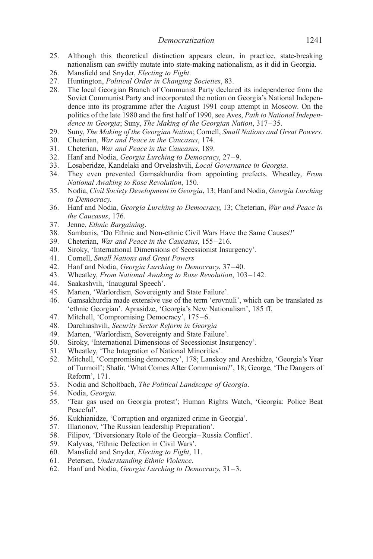- 25. Although this theoretical distinction appears clean, in practice, state-breaking nationalism can swiftly mutate into state-making nationalism, as it did in Georgia.
- 26. Mansfield and Snyder, *Electing to Fight.*<br>27. Huntington, *Political Order in Changing*
- 27. Huntington, *Political Order in Changing Societies*, 83.<br>28. The local Georgian Branch of Communist Party declare
- The local Georgian Branch of Communist Party declared its independence from the Soviet Communist Party and incorporated the notion on Georgia's National Independence into its programme after the August 1991 coup attempt in Moscow. On the politics of the late 1980 and the first half of 1990, see Aves, Path to National Independence in Georgia; Suny, The Making of the Georgian Nation, 317-35.
- 29. Suny, The Making of the Georgian Nation; Cornell, Small Nations and Great Powers.<br>30. Cheterian *War and Peace in the Caucasus* 174.
- 30. Cheterian, *War and Peace in the Caucasus*, 174.<br>31. Cheterian. *War and Peace in the Caucasus*. 189.
- 31. Cheterian, *War and Peace in the Caucasus*, 189.<br>32. Hanf and Nodia, *Georgia Lurching to Democrac*
- 32. Hanf and Nodia, Georgia Lurching to Democracy, 27-9.<br>33. Losaberidze, Kandelaki and Orvelashvili, Local Governai
- 33. Losaberidze, Kandelaki and Orvelashvili, *Local Governance in Georgia*.<br>34. They even prevented Gamsakhurdia from appointing prefects. When
- They even prevented Gamsakhurdia from appointing prefects. Wheatley, From National Awaking to Rose Revolution, 150.
- 35. Nodia, Civil Society Development in Georgia, 13; Hanf and Nodia, Georgia Lurching to Democracy.
- 36. Hanf and Nodia, Georgia Lurching to Democracy, 13; Cheterian, War and Peace in the Caucasus, 176.
- 37. Jenne, Ethnic Bargaining.
- 38. Sambanis, 'Do Ethnic and Non-ethnic Civil Wars Have the Same Causes?'<br>39. Cheterian. *War and Peace in the Caucasus*. 155–216.
- 39. Cheterian, *War and Peace in the Caucasus*, 155–216.<br>40. Siroky. 'International Dimensions of Secessionist Insu
- 40. Siroky, 'International Dimensions of Secessionist Insurgency'.<br>41. Cornell. Small Nations and Great Powers
- 41. Cornell, *Small Nations and Great Powers*<br>42. Hanf and Nodia. *Georgia Lurching to Der*
- 42. Hanf and Nodia, Georgia Lurching to Democracy, 37–40.<br>43. Wheatley. From National Awaking to Rose Revolution. 103
- 43. Wheatley, From National Awaking to Rose Revolution, 103-142.<br>44. Saakashvili. 'Inaugural Speech'.
- 44. Saakashvili, 'Inaugural Speech'.<br>45. Marten. 'Warlordism. Sovereignt
- Marten, 'Warlordism, Sovereignty and State Failure'.
- 46. Gamsakhurdia made extensive use of the term 'erovnuli', which can be translated as 'ethnic Georgian'. Aprasidze, 'Georgia's New Nationalism', 185 ff.
- 47. Mitchell, 'Compromising Democracy', 175 –6.
- 48. Darchiashvili, Security Sector Reform in Georgia
- 49. Marten, 'Warlordism, Sovereignty and State Failure'.<br>50. Siroky. 'International Dimensions of Secessionist Insu
- Siroky, 'International Dimensions of Secessionist Insurgency'.
- 51. Wheatley, 'The Integration of National Minorities'.
- 52. Mitchell, 'Compromising democracy', 178; Lanskoy and Areshidze, 'Georgia's Year of Turmoil'; Shafir, 'What Comes After Communism?', 18; George, 'The Dangers of Reform', 171.
- 53. Nodia and Scholtbach, The Political Landscape of Georgia.
- 54. Nodia, Georgia.
- 55. 'Tear gas used on Georgia protest'; Human Rights Watch, 'Georgia: Police Beat Peaceful'.
- 56. Kukhianidze, 'Corruption and organized crime in Georgia'.
- 57. Illarionov, 'The Russian leadership Preparation'.
- 58. Filipov, 'Diversionary Role of the Georgia–Russia Conflict'.
- Kalyvas, 'Ethnic Defection in Civil Wars'.
- 60. Mansfield and Snyder, Electing to Fight, 11.
- 61. Petersen, Understanding Ethnic Violence.
- 62. Hanf and Nodia, Georgia Lurching to Democracy, 31 –3.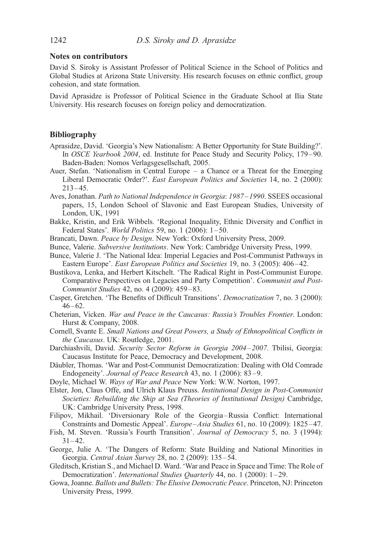## Notes on contributors

David S. Siroky is Assistant Professor of Political Science in the School of Politics and Global Studies at Arizona State University. His research focuses on ethnic conflict, group cohesion, and state formation.

David Aprasidze is Professor of Political Science in the Graduate School at Ilia State University. His research focuses on foreign policy and democratization.

#### Bibliography

- Aprasidze, David. 'Georgia's New Nationalism: A Better Opportunity for State Building?'. In OSCE Yearbook 2004, ed. Institute for Peace Study and Security Policy, 179–90. Baden-Baden: Nomos Verlagsgesellschaft, 2005.
- Auer, Stefan. 'Nationalism in Central Europe a Chance or a Threat for the Emerging Liberal Democratic Order?'. East European Politics and Societies 14, no. 2 (2000):  $213 - 45.$
- Aves, Jonathan. Path to National Independence in Georgia: 1987–1990. SSEES occasional papers, 15, London School of Slavonic and East European Studies, University of London, UK, 1991
- Bakke, Kristin, and Erik Wibbels. 'Regional Inequality, Ethnic Diversity and Conflict in Federal States'. World Politics 59, no. 1 (2006): 1–50.
- Brancati, Dawn. Peace by Design. New York: Oxford University Press, 2009.
- Bunce, Valerie. Subversive Institutions. New York: Cambridge University Press, 1999.
- Bunce, Valerie J. 'The National Idea: Imperial Legacies and Post-Communist Pathways in Eastern Europe'. East European Politics and Societies 19, no. 3 (2005): 406-42.
- Bustikova, Lenka, and Herbert Kitschelt. 'The Radical Right in Post-Communist Europe. Comparative Perspectives on Legacies and Party Competition'. Communist and Post-Communist Studies 42, no. 4 (2009): 459 –83.
- Casper, Gretchen. 'The Benefits of Difficult Transitions'. Democratization 7, no. 3 (2000):  $46 - 62$ .
- Cheterian, Vicken. War and Peace in the Caucasus: Russia's Troubles Frontier. London: Hurst & Company, 2008.
- Cornell, Svante E. Small Nations and Great Powers, a Study of Ethnopolitical Conflicts in the Caucasus. UK: Routledge, 2001.
- Darchiashvili, David. Security Sector Reform in Georgia 2004–2007. Tbilisi, Georgia: Caucasus Institute for Peace, Democracy and Development, 2008.
- Däubler, Thomas. 'War and Post-Communist Democratization: Dealing with Old Comrade Endogeneity'. Journal of Peace Research 43, no. 1 (2006): 83 –9.
- Doyle, Michael W. Ways of War and Peace New York: W.W. Norton, 1997.
- Elster, Jon, Claus Offe, and Ulrich Klaus Preuss. Institutional Design in Post-Communist Societies: Rebuilding the Ship at Sea (Theories of Institutional Design) Cambridge, UK: Cambridge University Press, 1998.
- Filipov, Mikhail. 'Diversionary Role of the Georgia–Russia Conflict: International Constraints and Domestic Appeal'. Europe –Asia Studies 61, no. 10 (2009): 1825–47.
- Fish, M. Steven. 'Russia's Fourth Transition'. Journal of Democracy 5, no. 3 (1994):  $31 - 42$ .
- George, Julie A. 'The Dangers of Reform: State Building and National Minorities in Georgia. Central Asian Survey 28, no. 2 (2009): 135 –54.
- Gleditsch, Kristian S., and Michael D. Ward. 'War and Peace in Space and Time: The Role of Democratization'. International Studies Quarterly 44, no. 1 (2000): 1–29.
- Gowa, Joanne. Ballots and Bullets: The Elusive Democratic Peace. Princeton, NJ: Princeton University Press, 1999.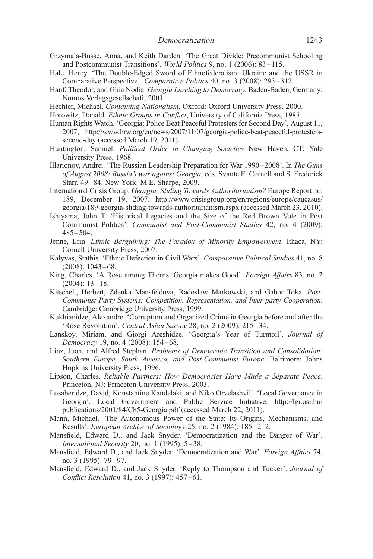- Grzymala-Busse, Anna, and Keith Darden. 'The Great Divide: Precommunist Schooling and Postcommunist Transitions'. World Politics 9, no. 1 (2006): 83 –115.
- Hale, Henry. 'The Double-Edged Sword of Ethnofederalism: Ukraine and the USSR in Comparative Perspective'. Comparative Politics 40, no. 3 (2008): 293 –312.
- Hanf, Theodor, and Ghia Nodia. Georgia Lurching to Democracy. Baden-Baden, Germany: Nomos Verlagsgesellschaft, 2001.
- Hechter, Michael. Containing Nationalism, Oxford: Oxford University Press, 2000.
- Horowitz, Donald. Ethnic Groups in Conflict, University of California Press, 1985.
- Human Rights Watch. 'Georgia: Police Beat Peaceful Protesters for Second Day', August 11, 2007, [http://www.hrw.org/en/news/2007/11/07/georgia-police-beat-peaceful-protesters](http://www.hrw.org/en/news/2007/11/07/georgia-police-beat-peaceful-protesters-second-day)[second-day](http://www.hrw.org/en/news/2007/11/07/georgia-police-beat-peaceful-protesters-second-day) (accessed March 19, 2011).
- Huntington, Samuel. Political Order in Changing Societies New Haven, CT: Yale University Press, 1968.
- Illarionov, Andrei. 'The Russian Leadership Preparation for War 1990–2008'. In The Guns of August 2008: Russia's war against Georgia, eds. Svante E. Cornell and S. Frederick Starr, 49 –84. New York: M.E. Sharpe, 2009.
- International Crisis Group. Georgia: Sliding Towards Authoritarianism? Europe Report no. 189, December 19, 2007. [http://www.crisisgroup.org/en/regions/europe/caucasus/](http://www.crisisgroup.org/en/regions/europe/caucasus/georgia/189-georgia-sliding-towards-authoritarianism.aspx) [georgia/189-georgia-sliding-towards-authoritarianism.aspx](http://www.crisisgroup.org/en/regions/europe/caucasus/georgia/189-georgia-sliding-towards-authoritarianism.aspx) (accessed March 23, 2010).
- Ishiyama, John T. 'Historical Legacies and the Size of the Red Brown Vote in Post Communist Politics'. Communist and Post-Communist Studies 42, no. 4 (2009):  $485 - 504.$
- Jenne, Erin. Ethnic Bargaining: The Paradox of Minority Empowerment. Ithaca, NY: Cornell University Press, 2007.
- Kalyvas, Stathis. 'Ethnic Defection in Civil Wars'. Comparative Political Studies 41, no. 8 (2008): 1043–68.
- King, Charles. 'A Rose among Thorns: Georgia makes Good'. Foreign Affairs 83, no. 2 (2004): 13–18.
- Kitschelt, Herbert, Zdenka Mansfeldova, Radoslaw Markowski, and Gabor Toka. Post-Communist Party Systems: Competition, Representation, and Inter-party Cooperation. Cambridge: Cambridge University Press, 1999.
- Kukhianidze, Alexandre. 'Corruption and Organized Crime in Georgia before and after the 'Rose Revolution'. Central Asian Survey 28, no. 2 (2009): 215 –34.
- Lanskoy, Miriam, and Giorgi Areshidze. 'Georgia's Year of Turmoil'. Journal of Democracy 19, no. 4 (2008): 154-68.
- Linz, Juan, and Alfred Stephan. Problems of Democratic Transition and Consolidation: Southern Europe, South America, and Post-Communist Europe. Baltimore: Johns Hopkins University Press, 1996.
- Lipson, Charles. Reliable Partners: How Democracies Have Made a Separate Peace. Princeton, NJ: Princeton University Press, 2003.
- Losaberidze, David, Konstantine Kandelaki, and Niko Orvelashvili. 'Local Governance in Georgia'. Local Government and Public Service Initiative. [http://lgi.osi.hu/](http://lgi.osi.hu/publications/2001/84/Ch5-Georgia.pdf) [publications/2001/84/Ch5-Georgia.pdf](http://lgi.osi.hu/publications/2001/84/Ch5-Georgia.pdf) (accessed March 22, 2011).
- Mann, Michael. 'The Autonomous Power of the State: Its Origins, Mechanisms, and Results'. European Archive of Sociology 25, no. 2 (1984): 185 –212.
- Mansfield, Edward D., and Jack Snyder. 'Democratization and the Danger of War'. International Security 20, no. 1 (1995): 5–38.
- Mansfield, Edward D., and Jack Snyder. 'Democratization and War'. Foreign Affairs 74, no. 3 (1995): 79 –97.
- Mansfield, Edward D., and Jack Snyder. 'Reply to Thompson and Tucker'. Journal of Conflict Resolution 41, no. 3 (1997): 457 –61.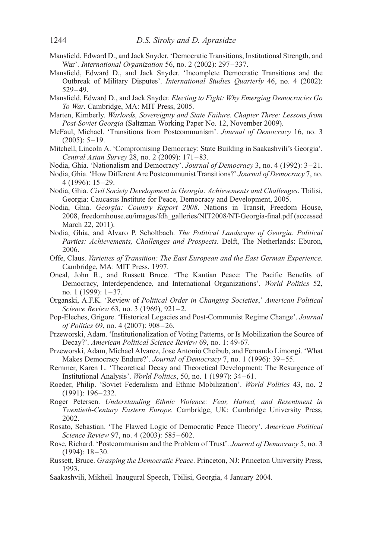- Mansfield, Edward D., and Jack Snyder. 'Democratic Transitions, Institutional Strength, and War'. International Organization 56, no. 2 (2002): 297 –337.
- Mansfield, Edward D., and Jack Snyder. 'Incomplete Democratic Transitions and the Outbreak of Military Disputes'. International Studies Quarterly 46, no. 4 (2002):  $529 - 49.$
- Mansfield, Edward D., and Jack Snyder. Electing to Fight: Why Emerging Democracies Go To War. Cambridge, MA: MIT Press, 2005.
- Marten, Kimberly. Warlords, Sovereignty and State Failure. Chapter Three: Lessons from Post-Soviet Georgia (Saltzman Working Paper No. 12, November 2009).
- McFaul, Michael. 'Transitions from Postcommunism'. Journal of Democracy 16, no. 3  $(2005): 5 - 19.$
- Mitchell, Lincoln A. 'Compromising Democracy: State Building in Saakashvili's Georgia'. Central Asian Survey 28, no. 2 (2009): 171 –83.
- Nodia, Ghia. 'Nationalism and Democracy'. Journal of Democracy 3, no. 4 (1992): 3-21.
- Nodia, Ghia. 'How Different Are Postcommunist Transitions?' Journal of Democracy 7, no. 4 (1996): 15 –29.
- Nodia, Ghia. Civil Society Development in Georgia: Achievements and Challenges. Tbilisi, Georgia: Caucasus Institute for Peace, Democracy and Development, 2005.
- Nodia, Ghia. Georgia: Country Report 2008. Nations in Transit, Freedom House, 2008, [freedomhouse.eu/images/fdh\\_galleries/NIT2008/NT-Georgia-final.pdf](freedomhouse.eu/images/fdh_galleries/NIT2008/NT-Georgia-final.pdf) (accessed March 22, 2011).
- Nodia, Ghia, and Alvaro P. Scholtbach. The Political Landscape of Georgia. Political Parties: Achievements, Challenges and Prospects. Delft, The Netherlands: Eburon, 2006.
- Offe, Claus. Varieties of Transition: The East European and the East German Experience. Cambridge, MA: MIT Press, 1997.
- Oneal, John R., and Russett Bruce. 'The Kantian Peace: The Pacific Benefits of Democracy, Interdependence, and International Organizations'. World Politics 52, no. 1 (1999): 1–37.
- Organski, A.F.K. 'Review of Political Order in Changing Societies,' American Political Science Review 63, no. 3 (1969), 921–2.
- Pop-Eleches, Grigore. 'Historical Legacies and Post-Communist Regime Change'. Journal of Politics 69, no. 4 (2007): 908 –26.
- Przeworski, Adam. 'Institutionalization of Voting Patterns, or Is Mobilization the Source of Decay?'. American Political Science Review 69, no. 1: 49-67.
- Przeworski, Adam, Michael Alvarez, Jose Antonio Cheibub, and Fernando Limongi. 'What Makes Democracy Endure?'. Journal of Democracy 7, no. 1 (1996): 39–55.
- Remmer, Karen L. 'Theoretical Decay and Theoretical Development: The Resurgence of Institutional Analysis'. World Politics, 50, no. 1 (1997): 34 –61.
- Roeder, Philip. 'Soviet Federalism and Ethnic Mobilization'. World Politics 43, no. 2  $(1991): 196 - 232.$
- Roger Petersen. Understanding Ethnic Violence: Fear, Hatred, and Resentment in Twentieth-Century Eastern Europe. Cambridge, UK: Cambridge University Press, 2002.
- Rosato, Sebastian. 'The Flawed Logic of Democratic Peace Theory'. American Political Science Review 97, no. 4 (2003): 585-602.
- Rose, Richard. 'Postcommunism and the Problem of Trust'. Journal of Democracy 5, no. 3 (1994): 18–30.
- Russett, Bruce. Grasping the Democratic Peace. Princeton, NJ: Princeton University Press, 1993.
- Saakashvili, Mikheil. Inaugural Speech, Tbilisi, Georgia, 4 January 2004.